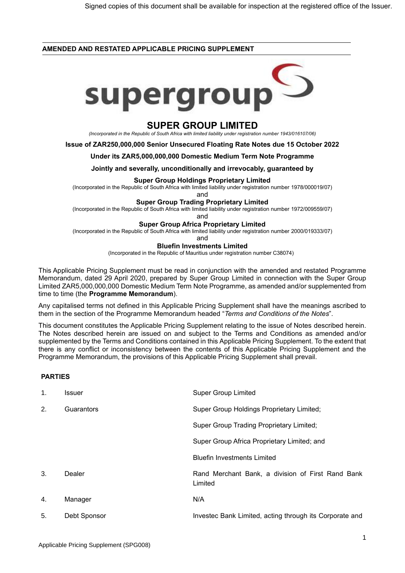## **AMENDED AND RESTATED APPLICABLE PRICING SUPPLEMENT**



# **SUPER GROUP LIMITED**

*(Incorporated in the Republic of South Africa with limited liability under registration number 1943/016107/06)*

**Issue of ZAR250,000,000 Senior Unsecured Floating Rate Notes due 15 October 2022**

**Under its ZAR5,000,000,000 Domestic Medium Term Note Programme**

**Jointly and severally, unconditionally and irrevocably, guaranteed by**

#### **Super Group Holdings Proprietary Limited**

(Incorporated in the Republic of South Africa with limited liability under registration number 1978/000019/07)

and

**Super Group Trading Proprietary Limited**

(Incorporated in the Republic of South Africa with limited liability under registration number 1972/009559/07)

and

#### **Super Group Africa Proprietary Limited**

(Incorporated in the Republic of South Africa with limited liability under registration number 2000/019333/07)

and

#### **Bluefin Investments Limited**

(Incorporated in the Republic of Mauritius under registration number C38074)

This Applicable Pricing Supplement must be read in conjunction with the amended and restated Programme Memorandum, dated 29 April 2020, prepared by Super Group Limited in connection with the Super Group Limited ZAR5,000,000,000 Domestic Medium Term Note Programme, as amended and/or supplemented from time to time (the **Programme Memorandum**).

Any capitalised terms not defined in this Applicable Pricing Supplement shall have the meanings ascribed to them in the section of the Programme Memorandum headed "*Terms and Conditions of the Notes*".

This document constitutes the Applicable Pricing Supplement relating to the issue of Notes described herein. The Notes described herein are issued on and subject to the Terms and Conditions as amended and/or supplemented by the Terms and Conditions contained in this Applicable Pricing Supplement. To the extent that there is any conflict or inconsistency between the contents of this Applicable Pricing Supplement and the Programme Memorandum, the provisions of this Applicable Pricing Supplement shall prevail.

# **PARTIES**

| $\mathbf{1}$ . | Issuer       | <b>Super Group Limited</b>                                   |
|----------------|--------------|--------------------------------------------------------------|
| 2.             | Guarantors   | Super Group Holdings Proprietary Limited;                    |
|                |              | <b>Super Group Trading Proprietary Limited;</b>              |
|                |              | Super Group Africa Proprietary Limited; and                  |
|                |              | <b>Bluefin Investments Limited</b>                           |
| 3.             | Dealer       | Rand Merchant Bank, a division of First Rand Bank<br>Limited |
| 4.             | Manager      | N/A                                                          |
| 5.             | Debt Sponsor | Investec Bank Limited, acting through its Corporate and      |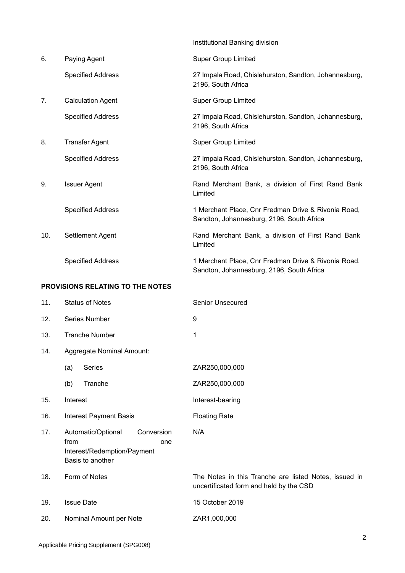|                                  |                           |                          | Institutional Banking division                                                                   |  |
|----------------------------------|---------------------------|--------------------------|--------------------------------------------------------------------------------------------------|--|
| 6.                               |                           | Paying Agent             | <b>Super Group Limited</b>                                                                       |  |
|                                  |                           | <b>Specified Address</b> | 27 Impala Road, Chislehurston, Sandton, Johannesburg,<br>2196, South Africa                      |  |
| 7.                               |                           | <b>Calculation Agent</b> | <b>Super Group Limited</b>                                                                       |  |
|                                  |                           | <b>Specified Address</b> | 27 Impala Road, Chislehurston, Sandton, Johannesburg,<br>2196, South Africa                      |  |
| 8.                               |                           | <b>Transfer Agent</b>    | <b>Super Group Limited</b>                                                                       |  |
|                                  |                           | <b>Specified Address</b> | 27 Impala Road, Chislehurston, Sandton, Johannesburg,<br>2196, South Africa                      |  |
| 9.                               |                           | <b>Issuer Agent</b>      | Rand Merchant Bank, a division of First Rand Bank<br>Limited                                     |  |
|                                  |                           | <b>Specified Address</b> | 1 Merchant Place, Cnr Fredman Drive & Rivonia Road,<br>Sandton, Johannesburg, 2196, South Africa |  |
| 10.                              |                           | Settlement Agent         | Rand Merchant Bank, a division of First Rand Bank<br>Limited                                     |  |
|                                  |                           | <b>Specified Address</b> | 1 Merchant Place, Cnr Fredman Drive & Rivonia Road,<br>Sandton, Johannesburg, 2196, South Africa |  |
| PROVISIONS RELATING TO THE NOTES |                           |                          |                                                                                                  |  |
| 11.                              | <b>Status of Notes</b>    |                          | <b>Senior Unsecured</b>                                                                          |  |
| 12.                              | Series Number             |                          | 9                                                                                                |  |
| 13.                              | Tranche Number            |                          | 1                                                                                                |  |
| 14.                              | Aggregate Nominal Amount: |                          |                                                                                                  |  |
|                                  | (a)                       | Series                   | ZAR250,000,000                                                                                   |  |
|                                  | (b)                       | Tranche                  | ZAR250,000,000                                                                                   |  |

- 15. Interest **Interest**
- 16. Interest Payment Basis Floating Rate
- 17. Automatic/Optional Conversion from one Interest/Redemption/Payment Basis to another
- 18. Form of Notes The Notes in this Tranche are listed Notes, issued in
- 19. Issue Date 15 October 2019
- 20. Nominal Amount per Note ZAR1,000,000

uncertificated form and held by the CSD

N/A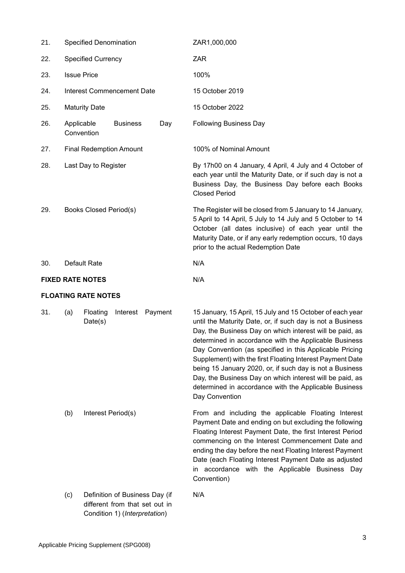| 21. | Specified Denomination                                                  |                            |                                   |     | ZAR1,000,000                                                                                                                                                                                                                                                                                                                                                                                                                                                                                                                                                            |
|-----|-------------------------------------------------------------------------|----------------------------|-----------------------------------|-----|-------------------------------------------------------------------------------------------------------------------------------------------------------------------------------------------------------------------------------------------------------------------------------------------------------------------------------------------------------------------------------------------------------------------------------------------------------------------------------------------------------------------------------------------------------------------------|
| 22. | <b>Specified Currency</b>                                               |                            |                                   |     | <b>ZAR</b>                                                                                                                                                                                                                                                                                                                                                                                                                                                                                                                                                              |
| 23. |                                                                         | <b>Issue Price</b>         |                                   |     | 100%                                                                                                                                                                                                                                                                                                                                                                                                                                                                                                                                                                    |
| 24. |                                                                         |                            | <b>Interest Commencement Date</b> |     | 15 October 2019                                                                                                                                                                                                                                                                                                                                                                                                                                                                                                                                                         |
| 25. |                                                                         | <b>Maturity Date</b>       |                                   |     | 15 October 2022                                                                                                                                                                                                                                                                                                                                                                                                                                                                                                                                                         |
| 26. | Applicable                                                              | Convention                 | <b>Business</b>                   | Day | <b>Following Business Day</b>                                                                                                                                                                                                                                                                                                                                                                                                                                                                                                                                           |
| 27. |                                                                         |                            | <b>Final Redemption Amount</b>    |     | 100% of Nominal Amount                                                                                                                                                                                                                                                                                                                                                                                                                                                                                                                                                  |
| 28. | Last Day to Register                                                    |                            |                                   |     | By 17h00 on 4 January, 4 April, 4 July and 4 October of<br>each year until the Maturity Date, or if such day is not a<br>Business Day, the Business Day before each Books<br><b>Closed Period</b>                                                                                                                                                                                                                                                                                                                                                                       |
| 29. | <b>Books Closed Period(s)</b>                                           |                            |                                   |     | The Register will be closed from 5 January to 14 January,<br>5 April to 14 April, 5 July to 14 July and 5 October to 14<br>October (all dates inclusive) of each year until the<br>Maturity Date, or if any early redemption occurs, 10 days<br>prior to the actual Redemption Date                                                                                                                                                                                                                                                                                     |
| 30. | Default Rate                                                            |                            |                                   |     | N/A                                                                                                                                                                                                                                                                                                                                                                                                                                                                                                                                                                     |
|     | <b>FIXED RATE NOTES</b>                                                 |                            |                                   |     | N/A                                                                                                                                                                                                                                                                                                                                                                                                                                                                                                                                                                     |
|     |                                                                         | <b>FLOATING RATE NOTES</b> |                                   |     |                                                                                                                                                                                                                                                                                                                                                                                                                                                                                                                                                                         |
| 31. | (a)                                                                     | Floating<br>Date(s)        | Interest Payment                  |     | 15 January, 15 April, 15 July and 15 October of each year<br>until the Maturity Date, or, if such day is not a Business<br>Day, the Business Day on which interest will be paid, as<br>determined in accordance with the Applicable Business<br>Day Convention (as specified in this Applicable Pricing<br>Supplement) with the first Floating Interest Payment Date<br>being 15 January 2020, or, if such day is not a Business<br>Day, the Business Day on which interest will be paid, as<br>determined in accordance with the Applicable Business<br>Day Convention |
|     | (b)                                                                     | Interest Period(s)         |                                   |     | From and including the applicable Floating Interest<br>Payment Date and ending on but excluding the following<br>Floating Interest Payment Date, the first Interest Period<br>commencing on the Interest Commencement Date and<br>ending the day before the next Floating Interest Payment<br>Date (each Floating Interest Payment Date as adjusted<br>in accordance with the Applicable Business Day<br>Convention)                                                                                                                                                    |
|     | Definition of Business Day (if<br>(c)<br>different from that set out in |                            |                                   | N/A |                                                                                                                                                                                                                                                                                                                                                                                                                                                                                                                                                                         |

Condition 1) (*Interpretation*)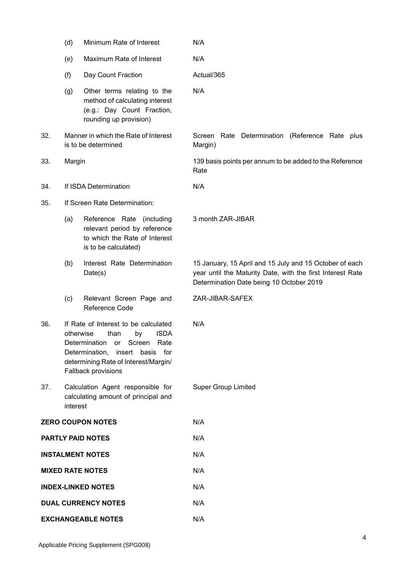|                            | (d)                                                                                                                                                                                                                    | Minimum Rate of Interest                                                                                              | N/A                                                                                                                                                               |
|----------------------------|------------------------------------------------------------------------------------------------------------------------------------------------------------------------------------------------------------------------|-----------------------------------------------------------------------------------------------------------------------|-------------------------------------------------------------------------------------------------------------------------------------------------------------------|
|                            | (e)                                                                                                                                                                                                                    | Maximum Rate of Interest                                                                                              | N/A                                                                                                                                                               |
|                            | (f)                                                                                                                                                                                                                    | Day Count Fraction                                                                                                    | Actual/365                                                                                                                                                        |
|                            | (g)                                                                                                                                                                                                                    | Other terms relating to the<br>method of calculating interest<br>(e.g.: Day Count Fraction,<br>rounding up provision) | N/A                                                                                                                                                               |
| 32.                        |                                                                                                                                                                                                                        | Manner in which the Rate of Interest<br>is to be determined                                                           | Screen Rate Determination (Reference Rate plus<br>Margin)                                                                                                         |
| 33.                        | Margin                                                                                                                                                                                                                 |                                                                                                                       | 139 basis points per annum to be added to the Reference<br>Rate                                                                                                   |
| 34.                        |                                                                                                                                                                                                                        | If ISDA Determination                                                                                                 | N/A                                                                                                                                                               |
| 35.                        |                                                                                                                                                                                                                        | If Screen Rate Determination:                                                                                         |                                                                                                                                                                   |
|                            | (a)                                                                                                                                                                                                                    | Reference Rate (including<br>relevant period by reference<br>to which the Rate of Interest<br>is to be calculated)    | 3 month ZAR-JIBAR                                                                                                                                                 |
|                            | (b)                                                                                                                                                                                                                    | Interest Rate Determination<br>Date(s)                                                                                | 15 January, 15 April and 15 July and 15 October of each<br>year until the Maturity Date, with the first Interest Rate<br>Determination Date being 10 October 2019 |
|                            | (c)                                                                                                                                                                                                                    | Relevant Screen Page and<br>Reference Code                                                                            | ZAR-JIBAR-SAFEX                                                                                                                                                   |
| 36.                        | If Rate of Interest to be calculated<br><b>ISDA</b><br>otherwise<br>than<br>by<br>Determination<br>or Screen<br>Rate<br>Determination, insert basis for<br>determining Rate of Interest/Margin/<br>Fallback provisions |                                                                                                                       | N/A                                                                                                                                                               |
| 37.                        | Calculation Agent responsible for<br>calculating amount of principal and<br>interest                                                                                                                                   |                                                                                                                       | <b>Super Group Limited</b>                                                                                                                                        |
| <b>ZERO COUPON NOTES</b>   |                                                                                                                                                                                                                        |                                                                                                                       | N/A                                                                                                                                                               |
| <b>PARTLY PAID NOTES</b>   |                                                                                                                                                                                                                        |                                                                                                                       | N/A                                                                                                                                                               |
| <b>INSTALMENT NOTES</b>    |                                                                                                                                                                                                                        |                                                                                                                       | N/A                                                                                                                                                               |
| <b>MIXED RATE NOTES</b>    |                                                                                                                                                                                                                        |                                                                                                                       | N/A                                                                                                                                                               |
| <b>INDEX-LINKED NOTES</b>  |                                                                                                                                                                                                                        |                                                                                                                       | N/A                                                                                                                                                               |
| <b>DUAL CURRENCY NOTES</b> |                                                                                                                                                                                                                        |                                                                                                                       | N/A                                                                                                                                                               |
| <b>EXCHANGEABLE NOTES</b>  |                                                                                                                                                                                                                        |                                                                                                                       | N/A                                                                                                                                                               |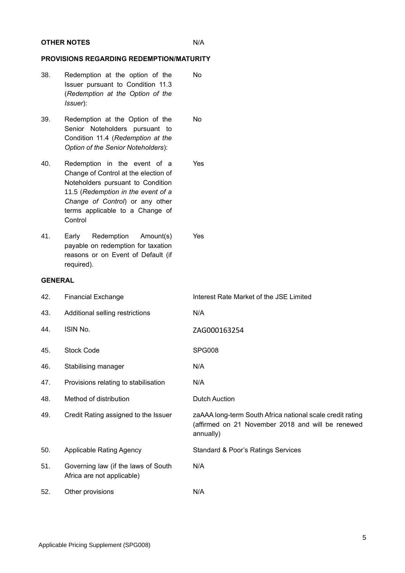## **OTHER NOTES** N/A

# **PROVISIONS REGARDING REDEMPTION/MATURITY**

- 38. Redemption at the option of the Issuer pursuant to Condition 11.3 (*Redemption at the Option of the Issuer*): No
- 39. Redemption at the Option of the Senior Noteholders pursuant to Condition 11.4 (*Redemption at the Option of the Senior Noteholders*): No
- 40. Redemption in the event of a Change of Control at the election of Noteholders pursuant to Condition 11.5 (*Redemption in the event of a Change of Control*) or any other terms applicable to a Change of **Control** Yes
- 41. Early Redemption Amount(s) payable on redemption for taxation reasons or on Event of Default (if required).

# **GENERAL**

| 42. | <b>Financial Exchange</b>                                         | Interest Rate Market of the JSE Limited                                                                                     |
|-----|-------------------------------------------------------------------|-----------------------------------------------------------------------------------------------------------------------------|
| 43. | Additional selling restrictions                                   | N/A                                                                                                                         |
| 44. | ISIN No.                                                          | ZAG000163254                                                                                                                |
| 45. | <b>Stock Code</b>                                                 | <b>SPG008</b>                                                                                                               |
| 46. | Stabilising manager                                               | N/A                                                                                                                         |
| 47. | Provisions relating to stabilisation                              | N/A                                                                                                                         |
| 48. | Method of distribution                                            | <b>Dutch Auction</b>                                                                                                        |
| 49. | Credit Rating assigned to the Issuer                              | zaAAA long-term South Africa national scale credit rating<br>(affirmed on 21 November 2018 and will be renewed<br>annually) |
| 50. | <b>Applicable Rating Agency</b>                                   | <b>Standard &amp; Poor's Ratings Services</b>                                                                               |
| 51. | Governing law (if the laws of South<br>Africa are not applicable) | N/A                                                                                                                         |
| 52. | Other provisions                                                  | N/A                                                                                                                         |

Yes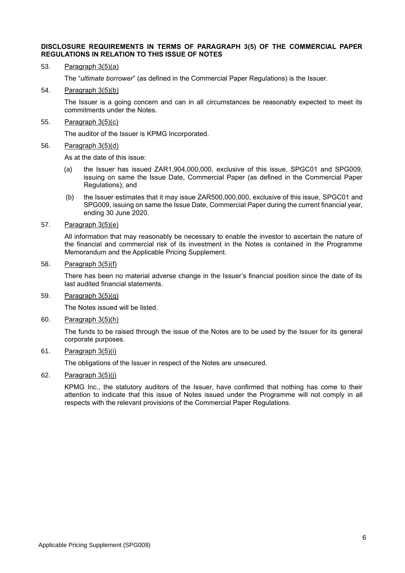#### **DISCLOSURE REQUIREMENTS IN TERMS OF PARAGRAPH 3(5) OF THE COMMERCIAL PAPER REGULATIONS IN RELATION TO THIS ISSUE OF NOTES**

53. Paragraph 3(5)(a)

The "*ultimate borrower*" (as defined in the Commercial Paper Regulations) is the Issuer.

54. Paragraph 3(5)(b)

The Issuer is a going concern and can in all circumstances be reasonably expected to meet its commitments under the Notes.

55. Paragraph 3(5)(c)

The auditor of the Issuer is KPMG Incorporated.

56. Paragraph 3(5)(d)

As at the date of this issue:

- (a) the Issuer has issued ZAR1,904,000,000, exclusive of this issue, SPGC01 and SPG009, issuing on same the Issue Date, Commercial Paper (as defined in the Commercial Paper Regulations); and
- (b) the Issuer estimates that it may issue ZAR500,000,000, exclusive of this issue, SPGC01 and SPG009, issuing on same the Issue Date, Commercial Paper during the current financial year, ending 30 June 2020.
- 57. Paragraph 3(5)(e)

All information that may reasonably be necessary to enable the investor to ascertain the nature of the financial and commercial risk of its investment in the Notes is contained in the Programme Memorandum and the Applicable Pricing Supplement.

58. Paragraph 3(5)(f)

There has been no material adverse change in the Issuer's financial position since the date of its last audited financial statements.

59. Paragraph 3(5)(g)

The Notes issued will be listed.

60. Paragraph 3(5)(h)

The funds to be raised through the issue of the Notes are to be used by the Issuer for its general corporate purposes.

61. Paragraph 3(5)(i)

The obligations of the Issuer in respect of the Notes are unsecured.

62. Paragraph  $3(5)(i)$ 

KPMG Inc., the statutory auditors of the Issuer, have confirmed that nothing has come to their attention to indicate that this issue of Notes issued under the Programme will not comply in all respects with the relevant provisions of the Commercial Paper Regulations.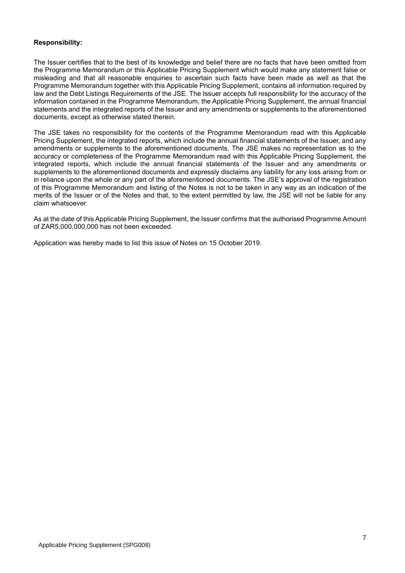# **Responsibility:**

The Issuer certifies that to the best of its knowledge and belief there are no facts that have been omitted from the Programme Memorandum or this Applicable Pricing Supplement which would make any statement false or misleading and that all reasonable enquiries to ascertain such facts have been made as well as that the Programme Memorandum together with this Applicable Pricing Supplement, contains all information required by law and the Debt Listings Requirements of the JSE. The Issuer accepts full responsibility for the accuracy of the information contained in the Programme Memorandum, the Applicable Pricing Supplement, the annual financial statements and the integrated reports of the Issuer and any amendments or supplements to the aforementioned documents, except as otherwise stated therein.

The JSE takes no responsibility for the contents of the Programme Memorandum read with this Applicable Pricing Supplement, the integrated reports, which include the annual financial statements of the Issuer, and any amendments or supplements to the aforementioned documents. The JSE makes no representation as to the accuracy or completeness of the Programme Memorandum read with this Applicable Pricing Supplement, the integrated reports, which include the annual financial statements of the Issuer and any amendments or supplements to the aforementioned documents and expressly disclaims any liability for any loss arising from or in reliance upon the whole or any part of the aforementioned documents. The JSE's approval of the registration of this Programme Memorandum and listing of the Notes is not to be taken in any way as an indication of the merits of the Issuer or of the Notes and that, to the extent permitted by law, the JSE will not be liable for any claim whatsoever.

As at the date of this Applicable Pricing Supplement, the Issuer confirms that the authorised Programme Amount of ZAR5,000,000,000 has not been exceeded.

Application was hereby made to list this issue of Notes on 15 October 2019.